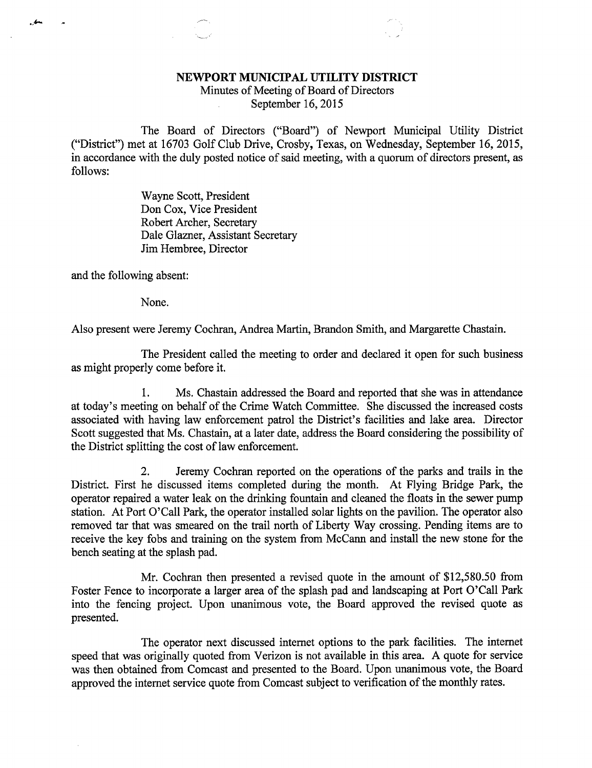## NEWPORT MUNICIPAL UTILITY DISTRICT

Minutes of Meeting of Board of Directors September 16, 2015

The Board of Directors ("Board") of Newport Municipal Utility District ("District") met at 16703 Golf Club Drive, Crosby, Texas, on Wednesday, September 16, 2015, in accordance with the duly posted notice of said meeting, with a quorum of directors present, as follows:

> Wayne Scott, President Don Cox, Vice President Robert Archer, Secretary Dale Glazner, Assistant Secretary Jim Hembree, Director

and the following absent:

ے۔

None.

Also present were Jeremy Cochran, Andrea Martin, Brandon Smith, and Margarette Chastain.

The President called the meeting to order and declared it open for such business as might properly come before it.

1. Ms. Chastain addressed the Board and reported that she was in attendance at today's meeting on behalf of the Crime Watch Committee. She discussed the increased costs associated with having law enforcement patrol the District's facilities and lake area. Director Scott suggested that Ms. Chastain, at a later date, address the Board considering the possibility of the District splitting the cost of law enforcement.

2. Jeremy Cochran reported on the operations of the parks and trails in the District. First he discussed items completed during the month. At Flying Bridge Park, the operator repaired a water leak on the drinking fountain and cleaned the floats in the sewer pump station. At Port O'Call Park, the operator installed solar lights on the pavilion. The operator also removed tar that was smeared on the trail north of Liberty Way crossing. Pending items are to receive the key fobs and training on the system from McCann and install the new stone for the bench seating at the splash pad.

Mr. Cochran then presented a revised quote in the amount of \$12,580.50 from Foster Fence to incorporate a larger area of the splash pad and landscaping at Port O'Call Park into the fencing project. Upon unanimous vote, the Board approved the revised quote as presented.

The operator next discussed internet options to the park facilities. The internet speed that was originally quoted from Verizon is not available in this area. A quote for service was then obtained from Comcast and presented to the Board. Upon unanimous vote, the Board approved the internet service quote from Comcast subject to verification of the monthly rates.